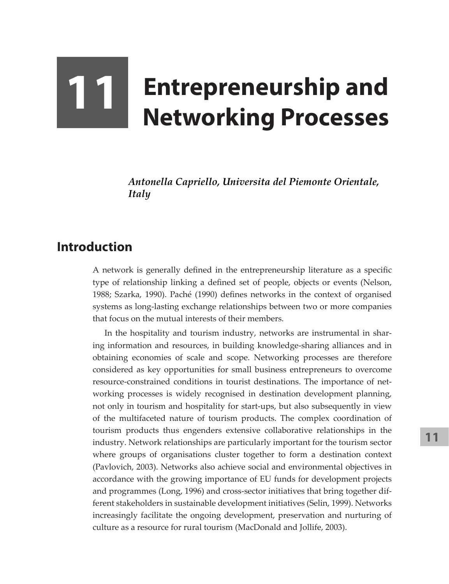# **11 Entrepreneurship and Networking Processes**

*Antonella Capriello, Universita del Piemonte Orientale, Italy*

## **Introduction**

A network is generally defined in the entrepreneurship literature as a specific type of relationship linking a defined set of people, objects or events (Nelson, 1988; Szarka, 1990). Paché (1990) defines networks in the context of organised systems as long-lasting exchange relationships between two or more companies that focus on the mutual interests of their members.

In the hospitality and tourism industry, networks are instrumental in sharing information and resources, in building knowledge-sharing alliances and in obtaining economies of scale and scope. Networking processes are therefore considered as key opportunities for small business entrepreneurs to overcome resource-constrained conditions in tourist destinations. The importance of networking processes is widely recognised in destination development planning, not only in tourism and hospitality for start-ups, but also subsequently in view of the multifaceted nature of tourism products. The complex coordination of tourism products thus engenders extensive collaborative relationships in the industry. Network relationships are particularly important for the tourism sector where groups of organisations cluster together to form a destination context (Pavlovich, 2003). Networks also achieve social and environmental objectives in accordance with the growing importance of EU funds for development projects and programmes (Long, 1996) and cross-sector initiatives that bring together different stakeholders in sustainable development initiatives (Selin, 1999). Networks increasingly facilitate the ongoing development, preservation and nurturing of culture as a resource for rural tourism (MacDonald and Jollife, 2003).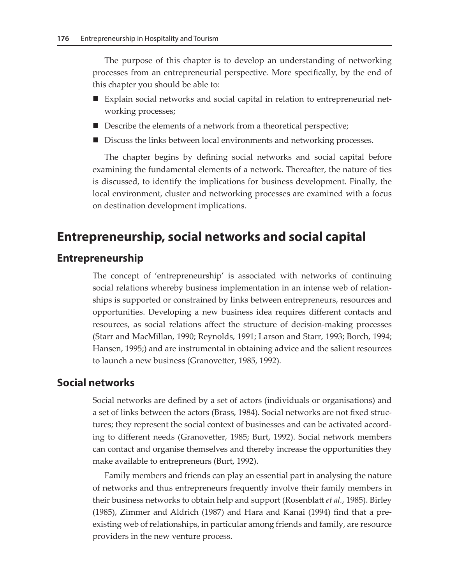The purpose of this chapter is to develop an understanding of networking processes from an entrepreneurial perspective. More specifically, by the end of this chapter you should be able to:

- Explain social networks and social capital in relation to entrepreneurial networking processes;
- Describe the elements of a network from a theoretical perspective;
- Discuss the links between local environments and networking processes.

The chapter begins by defining social networks and social capital before examining the fundamental elements of a network. Thereafter, the nature of ties is discussed, to identify the implications for business development. Finally, the local environment, cluster and networking processes are examined with a focus on destination development implications.

### **Entrepreneurship, social networks and social capital**

#### **Entrepreneurship**

The concept of 'entrepreneurship' is associated with networks of continuing social relations whereby business implementation in an intense web of relationships is supported or constrained by links between entrepreneurs, resources and opportunities. Developing a new business idea requires different contacts and resources, as social relations affect the structure of decision-making processes (Starr and MacMillan, 1990; Reynolds, 1991; Larson and Starr, 1993; Borch, 1994; Hansen, 1995;) and are instrumental in obtaining advice and the salient resources to launch a new business (Granovetter, 1985, 1992).

#### **Social networks**

Social networks are defined by a set of actors (individuals or organisations) and a set of links between the actors (Brass, 1984). Social networks are not fixed structures; they represent the social context of businesses and can be activated according to different needs (Granovetter, 1985; Burt, 1992). Social network members can contact and organise themselves and thereby increase the opportunities they make available to entrepreneurs (Burt, 1992).

Family members and friends can play an essential part in analysing the nature of networks and thus entrepreneurs frequently involve their family members in their business networks to obtain help and support (Rosenblatt *et al.*, 1985). Birley (1985), Zimmer and Aldrich (1987) and Hara and Kanai (1994) find that a preexisting web of relationships, in particular among friends and family, are resource providers in the new venture process.